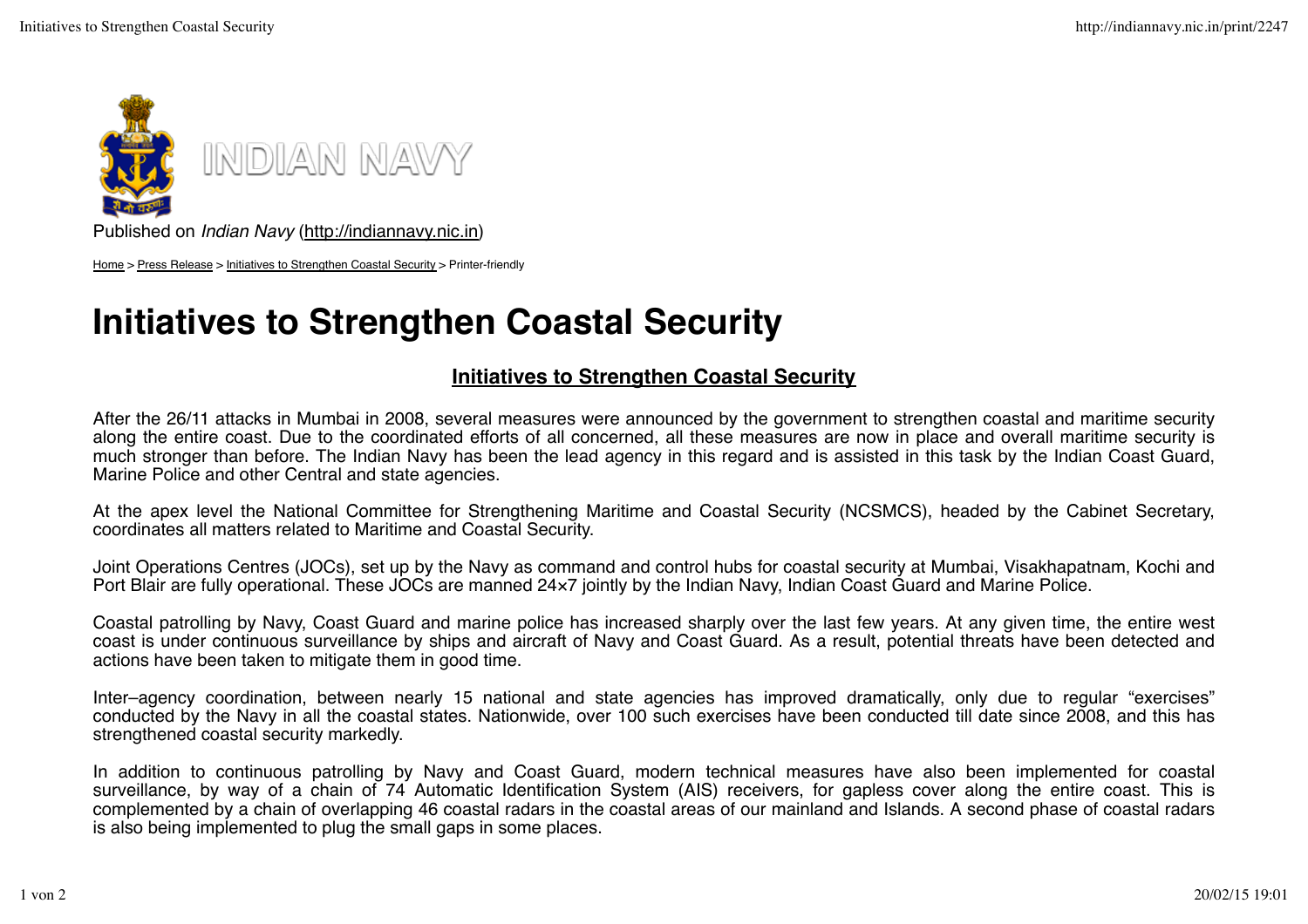

Published on *Indian Navy* (http://indiannavy.nic.in)

Home > Press Release > Initiatives to Strengthen Coastal Security > Printer-friendly

## **Initiatives to Strengthen Coastal Security**

## **Initiatives to Strengthen Coastal Security**

After the 26/11 attacks in Mumbai in 2008, several measures were announced by the government to strengthen coastal and maritime security along the entire coast. Due to the coordinated efforts of all concerned, all these measures are now in place and overall maritime security is much stronger than before. The Indian Navy has been the lead agency in this regard and is assisted in this task by the Indian Coast Guard, Marine Police and other Central and state agencies.

At the apex level the National Committee for Strengthening Maritime and Coastal Security (NCSMCS), headed by the Cabinet Secretary, coordinates all matters related to Maritime and Coastal Security.

Joint Operations Centres (JOCs), set up by the Navy as command and control hubs for coastal security at Mumbai, Visakhapatnam, Kochi and Port Blair are fully operational. These JOCs are manned 24×7 jointly by the Indian Navy, Indian Coast Guard and Marine Police.

Coastal patrolling by Navy, Coast Guard and marine police has increased sharply over the last few years. At any given time, the entire west coast is under continuous surveillance by ships and aircraft of Navy and Coast Guard. As a result, potential threats have been detected and actions have been taken to mitigate them in good time.

Inter–agency coordination, between nearly 15 national and state agencies has improved dramatically, only due to regular "exercises" conducted by the Navy in all the coastal states. Nationwide, over 100 such exercises have been conducted till date since 2008, and this has strengthened coastal security markedly.

In addition to continuous patrolling by Navy and Coast Guard, modern technical measures have also been implemented for coastal surveillance, by way of a chain of 74 Automatic Identification System (AIS) receivers, for gapless cover along the entire coast. This is complemented by a chain of overlapping 46 coastal radars in the coastal areas of our mainland and Islands. A second phase of coastal radars is also being implemented to plug the small gaps in some places.